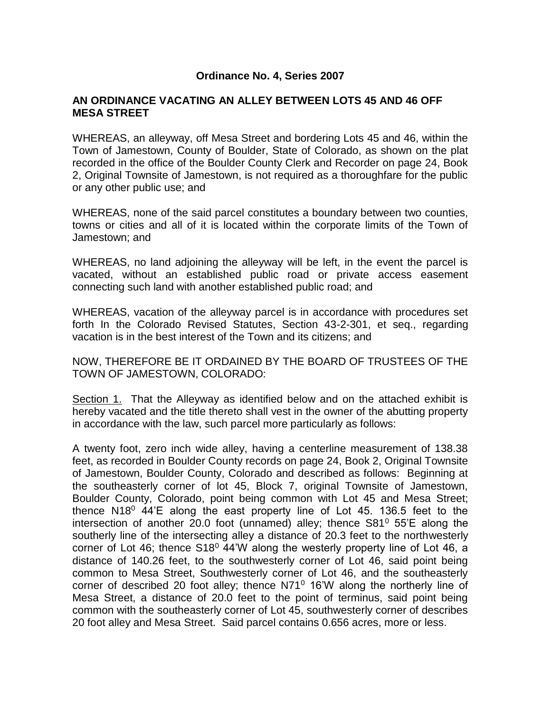## **Ordinance No. 4, Series 2007**

## **AN ORDINANCE VACATING AN ALLEY BETWEEN LOTS 45 AND 46 OFF MESA STREET**

WHEREAS, an alleyway, off Mesa Street and bordering Lots 45 and 46, within the Town of Jamestown, County of Boulder, State of Colorado, as shown on the plat recorded in the office of the Boulder County Clerk and Recorder on page 24, Book 2, Original Townsite of Jamestown, is not required as a thoroughfare for the public or any other public use; and

WHEREAS, none of the said parcel constitutes a boundary between two counties, towns or cities and all of it is located within the corporate limits of the Town of Jamestown; and

WHEREAS, no land adjoining the alleyway will be left, in the event the parcel is vacated, without an established public road or private access easement connecting such land with another established public road; and

WHEREAS, vacation of the alleyway parcel is in accordance with procedures set forth In the Colorado Revised Statutes, Section 43-2-301, et seq., regarding vacation is in the best interest of the Town and its citizens; and

NOW, THEREFORE BE IT ORDAINED BY THE BOARD OF TRUSTEES OF THE TOWN OF JAMESTOWN, COLORADO:

Section 1. That the Alleyway as identified below and on the attached exhibit is hereby vacated and the title thereto shall vest in the owner of the abutting property in accordance with the law, such parcel more particularly as follows:

A twenty foot, zero inch wide alley, having a centerline measurement of 138.38 feet, as recorded in Boulder County records on page 24, Book 2, Original Townsite of Jamestown, Boulder County, Colorado and described as follows: Beginning at the southeasterly corner of lot 45, Block 7, original Townsite of Jamestown, Boulder County, Colorado, point being common with Lot 45 and Mesa Street; thence  $N18^0$  44'E along the east property line of Lot 45. 136.5 feet to the intersection of another 20.0 foot (unnamed) alley; thence  $S81^0$  55'E along the southerly line of the intersecting alley a distance of 20.3 feet to the northwesterly corner of Lot 46; thence  $$18^{\circ}$  44'W along the westerly property line of Lot 46, a distance of 140.26 feet, to the southwesterly corner of Lot 46, said point being common to Mesa Street, Southwesterly corner of Lot 46, and the southeasterly corner of described 20 foot alley; thence  $N71^{\circ}$  16'W along the northerly line of Mesa Street, a distance of 20.0 feet to the point of terminus, said point being common with the southeasterly corner of Lot 45, southwesterly corner of describes 20 foot alley and Mesa Street. Said parcel contains 0.656 acres, more or less.